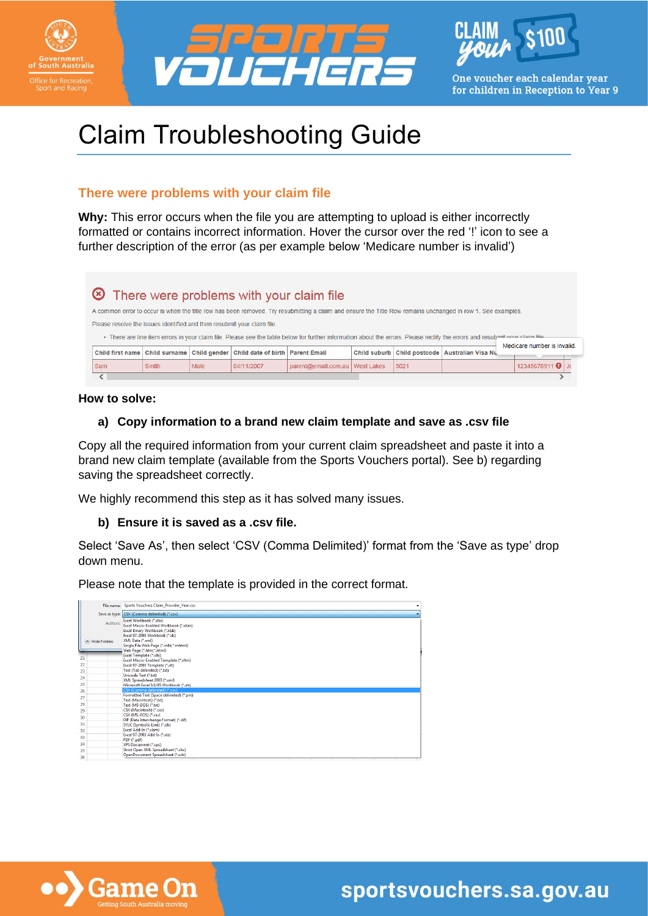





One voucher each calendar year for children in Reception to Year 9

# Claim Troubleshooting Guide

# **There were problems with your claim file**

**Why:** This error occurs when the file you are attempting to upload is either incorrectly formatted or contains incorrect information. Hover the cursor over the red '!' icon to see a further description of the error (as per example below 'Medicare number is invalid')

| There were problems with your claim file                                |       |      |                                                                                |                                                                                                                                                                              |                     |      |                                     |                             |
|-------------------------------------------------------------------------|-------|------|--------------------------------------------------------------------------------|------------------------------------------------------------------------------------------------------------------------------------------------------------------------------|---------------------|------|-------------------------------------|-----------------------------|
|                                                                         |       |      |                                                                                | A common error to occur is when the title row has been removed. Try resubmitting a claim and ensure the Title Row remains unchanged in row 1. See examples.                  |                     |      |                                     |                             |
| Please resolve the issues identified and then resubmit your claim file. |       |      |                                                                                |                                                                                                                                                                              |                     |      |                                     |                             |
|                                                                         |       |      |                                                                                | . There are line item errors in your claim file. Please see the table below for further information about the errors. Please rectify the errors and resubmit your claim file |                     |      |                                     |                             |
|                                                                         |       |      | Child first name Child surname Child gender Child date of birth   Parent Email |                                                                                                                                                                              | <b>Child suburb</b> |      | Child postcode   Australian Visa Nu | Medicare number is invalid. |
| Sam                                                                     | Smith | Male | 04/11/2007                                                                     | parent@email.com.au West Lakes                                                                                                                                               |                     | 5021 |                                     | 12345678911                 |
|                                                                         |       |      |                                                                                |                                                                                                                                                                              |                     |      |                                     |                             |

#### **How to solve:**

## **a) Copy information to a brand new claim template and save as .csv file**

Copy all the required information from your current claim spreadsheet and paste it into a brand new claim template (available from the Sports Vouchers portal). See b) regarding saving the spreadsheet correctly.

We highly recommend this step as it has solved many issues.

#### **b) Ensure it is saved as a .csv file.**

Select 'Save As', then select 'CSV (Comma Delimited)' format from the 'Save as type' drop down menu.

Please note that the template is provided in the correct format.

|                          | File name: Sports Vouchers Claim Provider Year.csv                                                                                                                                               |  |  |  |
|--------------------------|--------------------------------------------------------------------------------------------------------------------------------------------------------------------------------------------------|--|--|--|
| Save as type:            | CSV (Comma delimited) (*.csv)                                                                                                                                                                    |  |  |  |
| Authors:<br>Hide Folders | Excel Workbook (*.xlsx)<br>Excel Macro-Enabled Workbook (*.xlsm)<br>Excel Binary Workbook (*.xlsb)<br>Excel 97-2003 Workbook (*.xls)<br>XML Data (*.xml)<br>Single File Web Page (*.mht;*.mhtml) |  |  |  |
|                          | Web Page (*.htm;*.html)<br>Excel Template (*.xlbx)                                                                                                                                               |  |  |  |
| 21                       | Excel Macro-Enabled Template (*.xltm)                                                                                                                                                            |  |  |  |
| 22                       | Excel 97-2003 Template (".xlt)                                                                                                                                                                   |  |  |  |
| 23                       | Text (Tab delimited) (*.txt)                                                                                                                                                                     |  |  |  |
| 24                       | Unicode Text (*.txt)                                                                                                                                                                             |  |  |  |
| 25                       | XML Spreadsheet 2003 (*.xml)<br>Microsoft Excel 5.0/95 Workbook (*.xls)                                                                                                                          |  |  |  |
| 26                       | CSV (Comma delimited) (*.csv)                                                                                                                                                                    |  |  |  |
|                          | Formatted Text (Space delimited) (*.pm)                                                                                                                                                          |  |  |  |
| 27                       | Text (Macintosh) (*.txt)                                                                                                                                                                         |  |  |  |
| 28                       | Text (MS-DOS) (*.txt)                                                                                                                                                                            |  |  |  |
| 29                       | CSV (Macintosh) (*.csv)                                                                                                                                                                          |  |  |  |
| 30                       | CSV (MS-DOS) (*.csv)                                                                                                                                                                             |  |  |  |
| 31                       | DIF (Data Interchange Format) (*.dif)<br>SYLK (Symbolic Link) (*.slk)                                                                                                                            |  |  |  |
| 32                       | Excel Add-In (".xlam)                                                                                                                                                                            |  |  |  |
| 33                       | Excel 97-2003 Add-In (*.xla)                                                                                                                                                                     |  |  |  |
|                          | PDF (*.pdf)                                                                                                                                                                                      |  |  |  |
| 34                       | XPS Document (*.xps)                                                                                                                                                                             |  |  |  |
| 35                       | Strict Open XML Spreadsheet (*.xlsx)<br>OpenDocument Spreadsheet (*.ods)                                                                                                                         |  |  |  |
| 36                       |                                                                                                                                                                                                  |  |  |  |

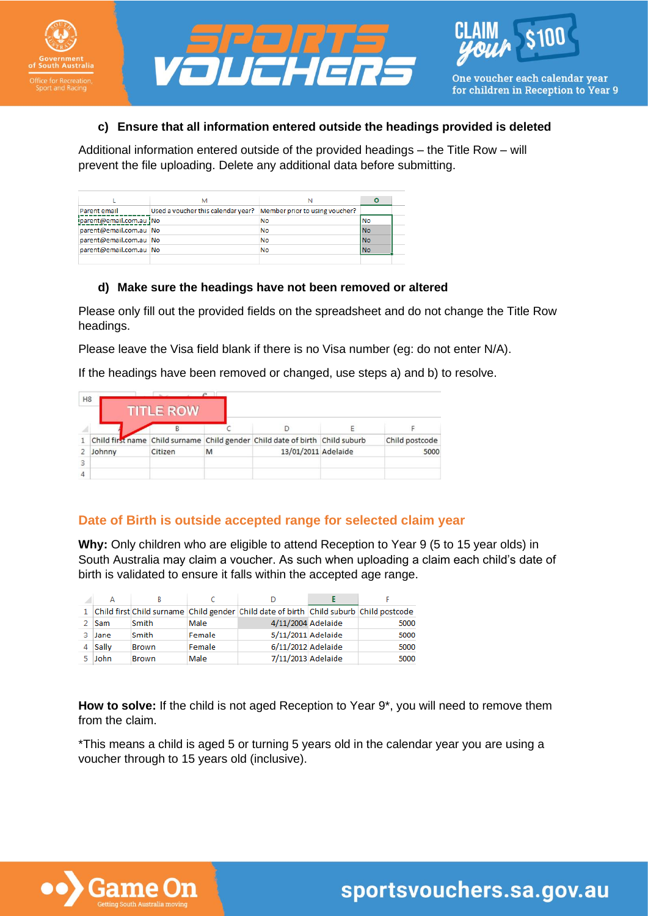





#### **c) Ensure that all information entered outside the headings provided is deleted**

Additional information entered outside of the provided headings – the Title Row – will prevent the file uploading. Delete any additional data before submitting.

|                         | М                                                                   |    |            |  |
|-------------------------|---------------------------------------------------------------------|----|------------|--|
| <b>Parent email</b>     | Used a voucher this calendar year?   Member prior to using voucher? |    |            |  |
| iparent@email.com.au No |                                                                     | No | No         |  |
| parent@email.com.au No  |                                                                     | No | lNo        |  |
| parent@email.com.au No  |                                                                     | No | <b>INo</b> |  |
| parent@email.com.au No  |                                                                     | No | lNo        |  |
|                         |                                                                     |    |            |  |

#### **d) Make sure the headings have not been removed or altered**

Please only fill out the provided fields on the spreadsheet and do not change the Title Row headings.

Please leave the Visa field blank if there is no Visa number (eg: do not enter N/A).

If the headings have been removed or changed, use steps a) and b) to resolve.

| H <sub>8</sub> |        | <b>TITLE ROW</b> |   |                                                                              |                |
|----------------|--------|------------------|---|------------------------------------------------------------------------------|----------------|
|                |        |                  |   |                                                                              |                |
|                |        |                  |   | Child first name Child surname Child gender Child date of birth Child suburb | Child postcode |
|                | Johnny | Citizen          | M | 13/01/2011 Adelaide                                                          | 5000           |
| 3              |        |                  |   |                                                                              |                |
|                |        |                  |   |                                                                              |                |

## **Date of Birth is outside accepted range for selected claim year**

**Why:** Only children who are eligible to attend Reception to Year 9 (5 to 15 year olds) in South Australia may claim a voucher. As such when uploading a claim each child's date of birth is validated to ensure it falls within the accepted age range.

| ◢  |       |              |        |                                                                                          |      |
|----|-------|--------------|--------|------------------------------------------------------------------------------------------|------|
|    |       |              |        | 1 Child first Child surname Child gender Child date of birth Child suburb Child postcode |      |
|    | Sam   | Smith        | Male   | 4/11/2004 Adelaide                                                                       | 5000 |
| з. | Jane  | Smith        | Female | 5/11/2011 Adelaide                                                                       | 5000 |
|    | Sally | Brown        | Female | 6/11/2012 Adelaide                                                                       | 5000 |
|    | John  | <b>Brown</b> | Male   | 7/11/2013 Adelaide                                                                       | 5000 |

**How to solve:** If the child is not aged Reception to Year 9\*, you will need to remove them from the claim.

\*This means a child is aged 5 or turning 5 years old in the calendar year you are using a voucher through to 15 years old (inclusive).

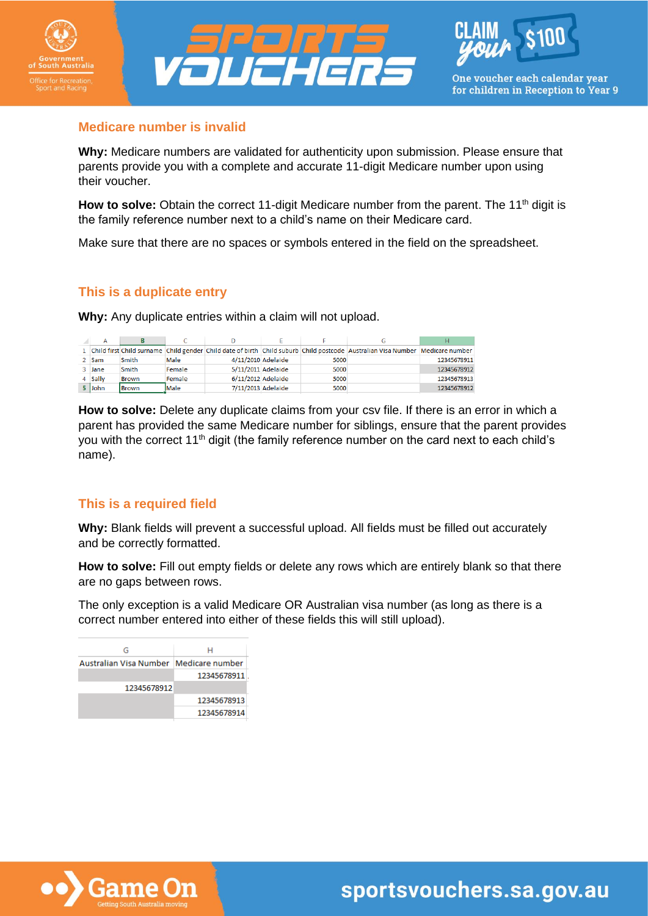





#### **Medicare number is invalid**

**Why:** Medicare numbers are validated for authenticity upon submission. Please ensure that parents provide you with a complete and accurate 11-digit Medicare number upon using their voucher.

How to solve: Obtain the correct 11-digit Medicare number from the parent. The 11<sup>th</sup> digit is the family reference number next to a child's name on their Medicare card.

Make sure that there are no spaces or symbols entered in the field on the spreadsheet.

## **This is a duplicate entry**

**Why:** Any duplicate entries within a claim will not upload.

|         |       |        |                    |      | 1 Child first Child surname Child gender Child date of birth Child suburb Child postcode Australian Visa Number Medicare number |             |
|---------|-------|--------|--------------------|------|---------------------------------------------------------------------------------------------------------------------------------|-------------|
| 2 Sam   | Smith | Male   | 4/11/2010 Adelaide | 5000 |                                                                                                                                 | 12345678911 |
| 3 Jane  | Smith | Female | 5/11/2011 Adelaide | 5000 |                                                                                                                                 | 12345678912 |
| 4 Sally | Brown | Female | 6/11/2012 Adelaide | 5000 |                                                                                                                                 | 12345678913 |
| 5 John  | Brown | Male   | 7/11/2013 Adelaide | 5000 |                                                                                                                                 | 12345678912 |

**How to solve:** Delete any duplicate claims from your csv file. If there is an error in which a parent has provided the same Medicare number for siblings, ensure that the parent provides you with the correct 11<sup>th</sup> digit (the family reference number on the card next to each child's name).

## **This is a required field**

**Why:** Blank fields will prevent a successful upload. All fields must be filled out accurately and be correctly formatted.

**How to solve:** Fill out empty fields or delete any rows which are entirely blank so that there are no gaps between rows.

The only exception is a valid Medicare OR Australian visa number (as long as there is a correct number entered into either of these fields this will still upload).

| н                                        |
|------------------------------------------|
| Australian Visa Number   Medicare number |
| 12345678911                              |
|                                          |
| 12345678913                              |
| 12345678914                              |
|                                          |



sportsvouchers.sa.gov.au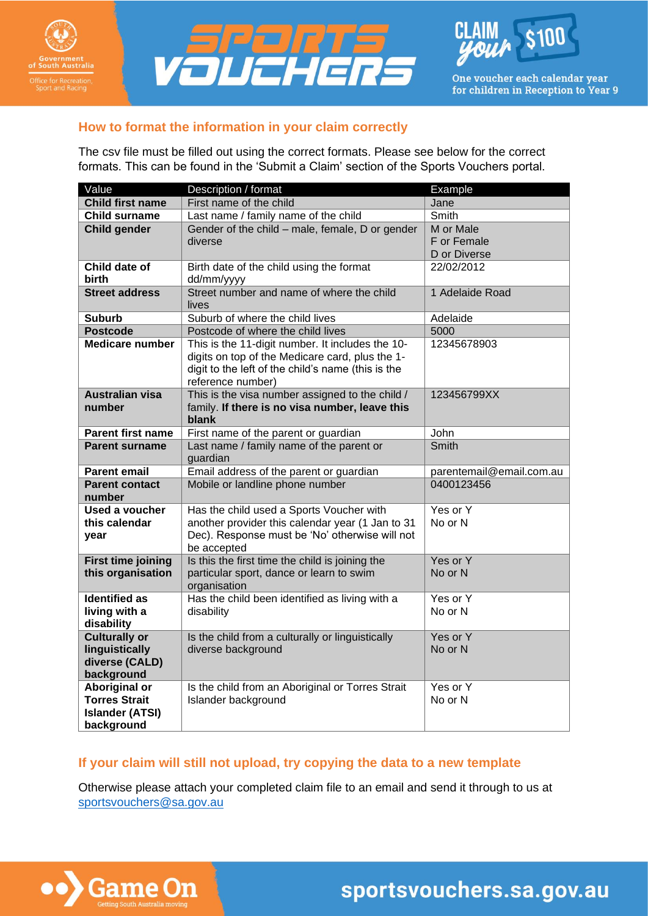





One voucher each calendar year for children in Reception to Year 9

# **How to format the information in your claim correctly**

The csv file must be filled out using the correct formats. Please see below for the correct formats. This can be found in the 'Submit a Claim' section of the Sports Vouchers portal.

| Value                              | Description / format                                                                                                                                                           | <b>Example</b>           |
|------------------------------------|--------------------------------------------------------------------------------------------------------------------------------------------------------------------------------|--------------------------|
| <b>Child first name</b>            | First name of the child                                                                                                                                                        | Jane                     |
| <b>Child surname</b>               | Last name / family name of the child                                                                                                                                           | <b>Smith</b>             |
| <b>Child gender</b>                | Gender of the child - male, female, D or gender                                                                                                                                | M or Male                |
|                                    | diverse                                                                                                                                                                        | F or Female              |
|                                    |                                                                                                                                                                                | D or Diverse             |
| Child date of                      | Birth date of the child using the format                                                                                                                                       | 22/02/2012               |
| birth                              | dd/mm/yyyy                                                                                                                                                                     |                          |
| <b>Street address</b>              | Street number and name of where the child<br>lives                                                                                                                             | 1 Adelaide Road          |
| <b>Suburb</b>                      | Suburb of where the child lives                                                                                                                                                | Adelaide                 |
| <b>Postcode</b>                    | Postcode of where the child lives                                                                                                                                              | 5000                     |
| <b>Medicare number</b>             | This is the 11-digit number. It includes the 10-<br>digits on top of the Medicare card, plus the 1-<br>digit to the left of the child's name (this is the<br>reference number) | 12345678903              |
| <b>Australian visa</b><br>number   | This is the visa number assigned to the child /<br>family. If there is no visa number, leave this<br>blank                                                                     | 123456799XX              |
| <b>Parent first name</b>           | First name of the parent or guardian                                                                                                                                           | John                     |
| <b>Parent surname</b>              | Last name / family name of the parent or<br>guardian                                                                                                                           | Smith                    |
| <b>Parent email</b>                | Email address of the parent or guardian                                                                                                                                        | parentemail@email.com.au |
| <b>Parent contact</b><br>number    | Mobile or landline phone number                                                                                                                                                | 0400123456               |
| <b>Used a voucher</b>              | Has the child used a Sports Voucher with                                                                                                                                       | Yes or Y                 |
| this calendar                      | another provider this calendar year (1 Jan to 31                                                                                                                               | No or N                  |
| year                               | Dec). Response must be 'No' otherwise will not<br>be accepted                                                                                                                  |                          |
| <b>First time joining</b>          | Is this the first time the child is joining the                                                                                                                                | Yes or Y                 |
| this organisation                  | particular sport, dance or learn to swim<br>organisation                                                                                                                       | No or N                  |
| <b>Identified as</b>               | Has the child been identified as living with a                                                                                                                                 | Yes or Y                 |
| living with a                      | disability                                                                                                                                                                     | No or N                  |
| disability                         |                                                                                                                                                                                |                          |
| <b>Culturally or</b>               | Is the child from a culturally or linguistically                                                                                                                               | Yes or Y                 |
| linguistically                     | diverse background                                                                                                                                                             | No or N                  |
| diverse (CALD)                     |                                                                                                                                                                                |                          |
| background<br><b>Aboriginal or</b> | Is the child from an Aboriginal or Torres Strait                                                                                                                               | Yes or Y                 |
| <b>Torres Strait</b>               | Islander background                                                                                                                                                            | No or N                  |
| <b>Islander (ATSI)</b>             |                                                                                                                                                                                |                          |
| background                         |                                                                                                                                                                                |                          |

# **If your claim will still not upload, try copying the data to a new template**

Otherwise please attach your completed claim file to an email and send it through to us at [sportsvouchers@sa.gov.au](mailto:sportsvouchers@sa.gov.au)